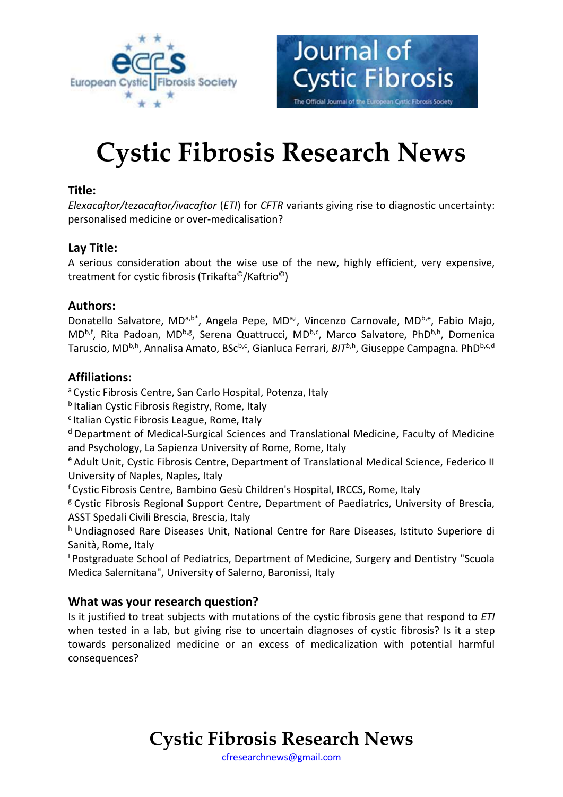



# **Cystic Fibrosis Research News**

#### **Title:**

*Elexacaftor/tezacaftor/ivacaftor* (*ETI*) for *CFTR* variants giving rise to diagnostic uncertainty: personalised medicine or over-medicalisation?

### **Lay Title:**

A serious consideration about the wise use of the new, highly efficient, very expensive, treatment for cystic fibrosis (Trikafta©/Kaftrio©)

### **Authors:**

Donatello Salvatore, MDa,b<sup>\*</sup>, Angela Pepe, MD<sup>a,i</sup>, Vincenzo Carnovale, MD<sup>b,e</sup>, Fabio Majo, MD<sup>b,f</sup>, Rita Padoan, MD<sup>b,g</sup>, Serena Quattrucci, MD<sup>b,c</sup>, Marco Salvatore, PhD<sup>b,h</sup>, Domenica Taruscio, MD<sup>b,h</sup>, Annalisa Amato, BSc<sup>b,c</sup>, Gianluca Ferrari, *BIT<sup>b,h</sup>*, Giuseppe Campagna. PhD<sup>b,c,d</sup>

### **Affiliations:**

<sup>a</sup> Cystic Fibrosis Centre, San Carlo Hospital, Potenza, Italy

**b** Italian Cystic Fibrosis Registry, Rome, Italy

<sup>c</sup> Italian Cystic Fibrosis League, Rome, Italy

<sup>d</sup> Department of Medical-Surgical Sciences and Translational Medicine, Faculty of Medicine and Psychology, La Sapienza University of Rome, Rome, Italy

<sup>e</sup> Adult Unit, Cystic Fibrosis Centre, Department of Translational Medical Science, Federico II University of Naples, Naples, Italy

<sup>f</sup>Cystic Fibrosis Centre, Bambino Gesù Children's Hospital, IRCCS, Rome, Italy

<sup>g</sup> Cystic Fibrosis Regional Support Centre, Department of Paediatrics, University of Brescia, ASST Spedali Civili Brescia, Brescia, Italy

h Undiagnosed Rare Diseases Unit, National Centre for Rare Diseases, Istituto Superiore di Sanità, Rome, Italy

<sup>1</sup> Postgraduate School of Pediatrics, Department of Medicine, Surgery and Dentistry "Scuola Medica Salernitana", University of Salerno, Baronissi, Italy

### **What was your research question?**

Is it justified to treat subjects with mutations of the cystic fibrosis gene that respond to *ETI* when tested in a lab, but giving rise to uncertain diagnoses of cystic fibrosis? Is it a step towards personalized medicine or an excess of medicalization with potential harmful consequences?

## **Cystic Fibrosis Research News**

[cfresearchnews@gmail.com](mailto:cfresearchnews@gmail.com)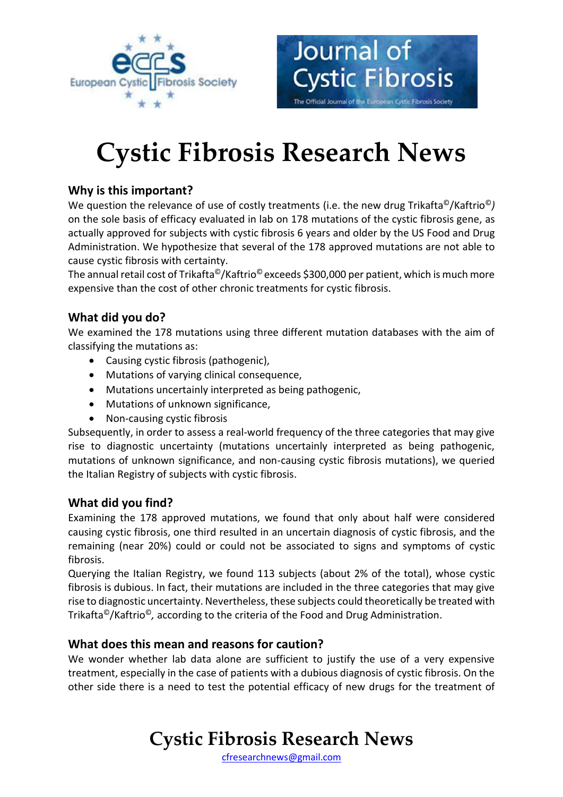

# **Cystic Fibrosis Research News**

Journal of

**Cystic Fibrosis** 

The Official Journal of the European Cystic Fibrosis Society

### **Why is this important?**

We question the relevance of use of costly treatments (i.e. the new drug Trikafta©/Kaftrio©*)* on the sole basis of efficacy evaluated in lab on 178 mutations of the cystic fibrosis gene, as actually approved for subjects with cystic fibrosis 6 years and older by the US Food and Drug Administration. We hypothesize that several of the 178 approved mutations are not able to cause cystic fibrosis with certainty.

The annual retail cost of Trikafta<sup>©</sup>/Kaftrio<sup>©</sup> exceeds \$300,000 per patient, which is much more expensive than the cost of other chronic treatments for cystic fibrosis.

### **What did you do?**

We examined the 178 mutations using three different mutation databases with the aim of classifying the mutations as:

- Causing cystic fibrosis (pathogenic),
- Mutations of varying clinical consequence,
- Mutations uncertainly interpreted as being pathogenic,
- Mutations of unknown significance,
- Non-causing cystic fibrosis

Subsequently, in order to assess a real-world frequency of the three categories that may give rise to diagnostic uncertainty (mutations uncertainly interpreted as being pathogenic, mutations of unknown significance, and non-causing cystic fibrosis mutations), we queried the Italian Registry of subjects with cystic fibrosis.

#### **What did you find?**

Examining the 178 approved mutations, we found that only about half were considered causing cystic fibrosis, one third resulted in an uncertain diagnosis of cystic fibrosis, and the remaining (near 20%) could or could not be associated to signs and symptoms of cystic fibrosis.

Querying the Italian Registry, we found 113 subjects (about 2% of the total), whose cystic fibrosis is dubious. In fact, their mutations are included in the three categories that may give rise to diagnostic uncertainty. Nevertheless, these subjects could theoretically be treated with Trikafta©/Kaftrio©*,* according to the criteria of the Food and Drug Administration.

#### **What does this mean and reasons for caution?**

We wonder whether lab data alone are sufficient to justify the use of a very expensive treatment, especially in the case of patients with a dubious diagnosis of cystic fibrosis. On the other side there is a need to test the potential efficacy of new drugs for the treatment of

## **Cystic Fibrosis Research News**

[cfresearchnews@gmail.com](mailto:cfresearchnews@gmail.com)